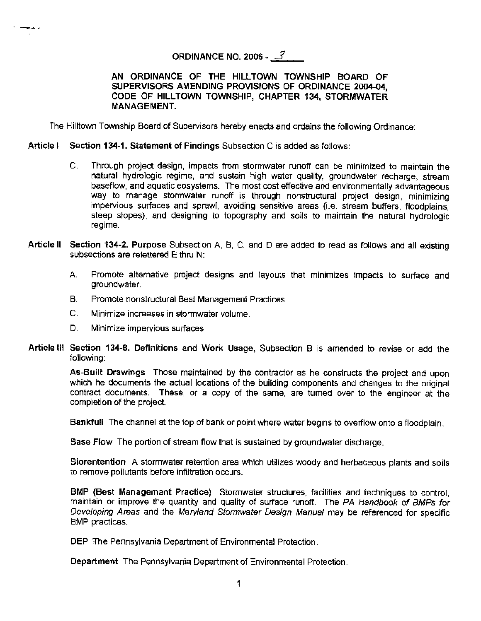# **ORDINANCE NO. 2006 -**  $\mathcal{J}$

**AN ORDINANCE OF THE HILL TOWN TOWNSHIP BOARD OF SUPERVISORS AMENDING PROVISIONS OF ORDINANCE 2004-04, CODE OF HILLTOWN TOWNSHIP, CHAPTER 134, STORMWATER MANAGEMENT.** 

The Hilltown Township Board of Supervisors hereby enacts and ordains the following Ordinance:

**Article I** Section 134-1. Statement of Findings Subsection C is added as follows:

- C. Through project design, impacts from stormwater runoff can be minimized to maintain the natural hydrologic regime, and sustain high water quality, groundwater recharge, stream baseflow, and aquatic eosystems. The most cost effective and environmentally advantageous way to manage stormwater runoff is through nonstructural project design, minimizing impervious surfaces and sprawl, avoiding sensitive areas (i.e. stream buffers, floodplains, steep slopes). and designing to topography and soils to maintain the natural hydrologic regime.
- **Article** II **Section 134-2. Purpose** Subsection A, B, C, and Dare added to read as follows and all existing subsections are relettered E thru N:
	- A. Promote alternative project designs and layouts that minimizes impacts to surface and groundwater.
	- B. Promote nonstructural Best Management Practices.
	- C. Minimize increases in stormwater volume.
	- D. Minimize impervious surfaces.

"-••

Article Ill Section 134-8. Definitions and Work Usage, Subsection B is amended to revise or add the following:

**As-Built Drawings** Those maintained by the contractor as he constructs the project and upon which he documents the actual locations of the building components and changes to the original contract documents. These, or a copy of the same, are turned over to the engineer at the completion of the project.

**Bankfull** The channel at the top of bank or point where water begins to overflow onto a floodplain.

**Base Flow** The portion of stream flow that is sustained by groundwater discharge.

**Biorentention** A stormwater retention area which utilizes woody and herbaceous plants and soils to remove pollutants before infiltration occurs.

**BMP (Best Management Practice)** Stormwater structures. facilities and techniques to control, maintain or improve the quantity and quality of surface runoff. The PA Handbook of BMPs for Developing Areas and the Maryland Stormwater Design Manual may be referenced for specific BMP practices.

**DEP** The Pennsylvania Department of Environmental Protection.

**Department** The Pennsylvania Department of Environmental Protection.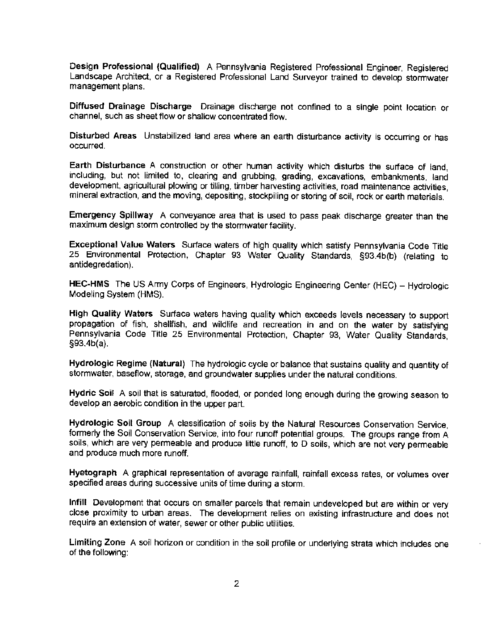**Design Professional (Qualified)** A Pennsylvania Registered Professional Engineer, Registered Landscape Architect, or a Registered Professional Land Surveyor trained to develop stormwater management plans.

**Diffused Drainage Discharge** Drainage discharge not confined to a single point location or channel, such as sheet flow or shallow concentrated flow.

**Disturbed Areas** Unstabilized land area where an earth disturbance activity is occurring or has occurred.

**Earth Disturbance** A construction or other human activity which disturbs the surface of land, including, but not limited to, clearing and grubbing, grading, excavations, embankments, land development, agricultural plowing or tilling, timber harvesting activities, road maintenance activities, mineral extraction, and the moving, depositing, stockpiling or storing of soil, rock or earth materials.

**Emergency Spillway** A conveyance area that is used to pass peak discharge greater than the maximum design storm controlled by the stormwater facility.

**Exceptional Value Waters** Surface waters of high quality which satisfy Pennsylvania Code Title 25 Environmental Protection, Chapter 93 Water Quality Standards, §93.4b(b) (relating to antidegredation).

**HEC-HMS** The US Army Corps of Engineers, Hydrologic Engineering Center (HEC) - Hydrologic Modeling System (HMS).

High Quality Waters Surface waters having quality which exceeds levels necessary to support propagation of fish, shellfish, and wildlife and recreation in and on the water by satisfying Pennsylvania Code Title 25 Environmental Protection, Chapter 93, Water Quality Standards, §93.4b(a).

**Hydrologic Regime (Natural)** The hydrologic cycle or balance that sustains quality and quantity of stormwater, baseflow, storage, and groundwater supplies under the natural conditions.

**Hydric Soil** A soil that is saturated, flooded, or ponded long enough during the growing season to develop an aerobic condition in the upper part.

**Hydrologic Soil Group** A classification of soils by the Natural Resources Conservation Service, formerly the Soil Conservation Service, into four runoff potential groups. The groups range from A soils, which are very permeable and produce little runoff, to D soils, which are not very permeable and produce much more runoff.

**Hyetograph** A graphical representation of average rainfall, rainfall excess rates, or volumes over specified areas during successive units of time during a storm.

Infill Development that occurs on smaller parcels that remain undeveloped but are within or very close proximity to urban areas. The development relies on existing infrastructure and does not require an extension of water, sewer or other public utilities.

**Limiting Zone** A soil horizon or condition in the soil profile or underlying strata which includes one of the following: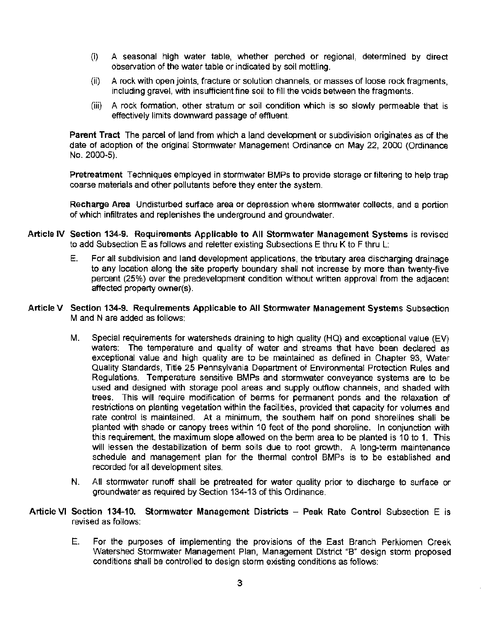- (i) A seasonal high water table, whether perched or regional, determined by direct observation of the water table or indicated by soil mottling.
- (ii) A rock with open joints, fracture or solution channels, or masses of loose rock fragments, including gravel, with insufficient fine soil to fill the voids between the fragments.
- (iii) A rock formation. other stratum or soil condition which is so slowly permeable that is effectively limits downward passage of effluent.

**Parent Tract** The parcel of land from which a land development or subdivision originates as of the date of adoption of the original Stormwater Management Ordinance on May 22, 2000 (Ordinance No. 2000·5).

Pretreatment Techniques employed in stormwater BMPs to provide storage or filtering to help trap coarse materials and other pollutants before they enter the system.

**Recharge Area** Undisturbed surface area or depression where stormwater collects, and a portion of which infiltrates and replenishes the underground and groundwater.

- **Article IV Section 134-9. Requirements Applicable to All Stormwater Management Systems** is revised to add Subsection E as follows and reletter existing Subsections E thru K to F thru L:
	- E. For all subdivision and land development applications, the tributary area discharging drainage to any location along the site property boundary shall not increase by more than twenty-five percent (25%) over the predevelopment condition without written approval from the adjacent affected property owner(s).
- **Article V Section 134-9. Requirements Applicable to All Stormwater Management Systems** Subsection M and N are added as follows:
	- M. Special requirements for watersheds draining to high quality (HQ) and exceptional value (EV) waters: The temperature and quality of water and streams that have been declared as exceptional value and high quality are to be maintained as defined in Chapter 93, Water Quality Standards, Title 25 Pennsylvania Department of Environmental Protection Rules and Regulations. Temperature sensitive BMPs and stormwater conveyance systems are to be used and designed with storage pool areas and supply outflow channels, and shaded with trees. This will require modification of berms for permanent ponds and the relaxation of restrictions on planting vegetation within the facilities, provided that capacity for volumes and rate control is maintained. At a minimum. the southern half on pond shorelines shall be planted with shade or canopy trees within 10 feet of the pond shoreline. In conjunction with this requirement. the maximum slope allowed on the berm area to be planted is 10 to 1. This will lessen the destabilization of berm soils due to root growth. A long-term maintenance schedule and management plan for the thermal control BMPs is to be established and recorded for all development sites.
	- N. All stormwater runoff shall be pretreated for water quality prior to discharge to surface or groundwater as required by Section 134-13 of this Ordinance.
- **Article VI Section 134-10. Stormwater Management Districts Peak Rate Control** Subsection E is revised as follows:
	- E. For the purposes of implementing the provisions of the East Branch Perkiomen Creek Watershed Stormwater Management Plan, Management District "B" design storm proposed conditions shall be controlled to design storm existing conditions as follows: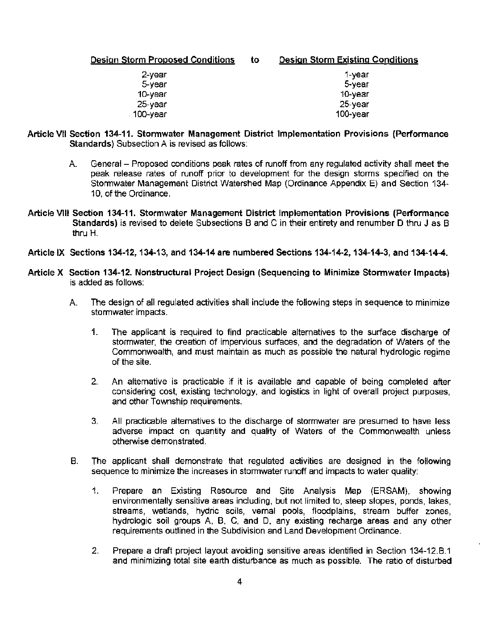| Design Storm Proposed Conditions | to | <b>Design Storm Existing Conditions</b> |
|----------------------------------|----|-----------------------------------------|
| 2-year                           |    | 1-vear                                  |
| 5-year                           |    | 5-year                                  |
| 10-year                          |    | 10-year                                 |
| $25$ -year                       |    | 25-year                                 |
| . 100-year                       |    | 100-year                                |

- **Article VII Section 134-11. Stormwater Management District Implementation Provisions (Performance Standards)** Subsection A is revised as follows:
	- A. General Proposed conditions peak rates of runoff from any regulated activity shall meet the peak release rates of runoff prior to development for the design storms specified on the Stormwater Management District Watershed Map (Ordinance Appendix E) and Section 134- 10, of the Ordinance.
- **Article VIII Section 134-11. Stormwater Management District Implementation Provisions (Performance**  Standards) is revised to delete Subsections B and C in their entirety and renumber D thru J as B thru H.
- **Article IX Sections 134-12, 134-13, and 134-14 are numbered Sections 134-14-2, 134-14-3, and 134-14-4.**
- **Article X Section 134-12. Nonstructural Project Design (Sequencing to Minimize Stormwater Impacts)**  is added as follows:
	- A. The design of all regulated activities shall include the following steps in sequence to minimize stormwater impacts.
		- 1. The applicant is required to find practicable alternatives to the surface discharge of stormwater, the creation of impervious surfaces, and the degradation of Waters of the Commonwealth, and must maintain as much as possible the natural hydrologic regime of the site.
		- 2. An alternative is practicable if it is available and capable of being completed after considering cost, existing technology, and logistics in light of overall project purposes, and other Township requirements.
		- 3. All practicable alternatives to the discharge of stormwater are presumed to have less adverse impact on quantity and quality of Waters of the Commonwealth unless otherwise demonstrated.
	- B. The applicant shall demonstrate that regulated activities are designed in the following sequence to minimize the increases in stormwater runoff and impacts to water quality:
		- 1. Prepare an Existing Resource and Site Analysis Map (ERSAM), showing environmentally sensitive areas including, but not limited to, steep slopes, ponds, lakes, streams, wetlands, hydric soils, vernal pools, floodplains, stream buffer zones, hydrologic soil groups A, 8, C. and D, any existing recharge areas and any other requirements outlined in the Subdivision and Land Development Ordinance.
		- 2. Prepare a draft project layout avoiding sensitive areas identified in Section 134-12.B.1 and minimizing total site earth disturbance as much as possible. The ratio of disturbed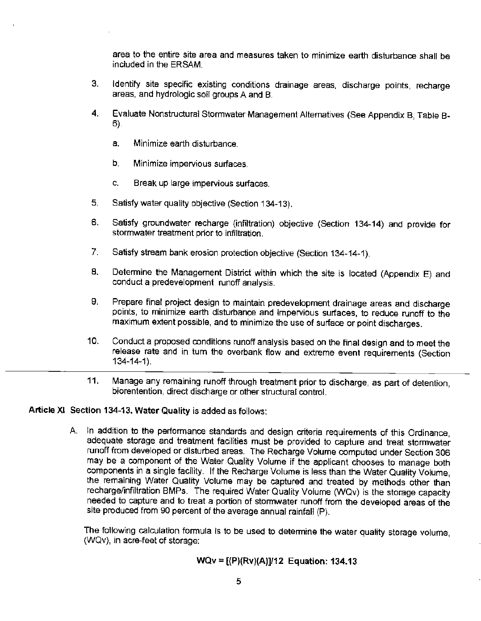area to the entire site area and measures taken to minimize earth disturbance shall be included in the ERSAM.

- 3. Identify site specific existing conditions drainage areas, discharge points, recharge areas, and hydrologic soil groups A and B.
- 4. Evaluate Nonstructural Stormwater Management Alternatives (See Appendix B, Table B-6}.
	- a. Minimize earth disturbance.
	- b. Minimize impervious surfaces.
	- c. Break up large impervious surfaces.
- 5. Satisfy water quality objective (Section 134-13).
- 6. Satisfy groundwater recharge (infiltration) objective (Section 134-14) and provide for stormwater treatment prior to infiltration.
- 7. Satisfy stream bank erosion protection objective (Section 134-14-1).
- 8. Determine the Management District within which the site is located (Appendix E) and conduct a predevelopment runoff analysis.
- 9. Prepare final project design to maintain predevelopment drainage areas and discharge points, to minimize earth disturbance and impervious surfaces, to reduce runoff to the maximum extent possible, and to minimize the use of surface or point discharges.
- 10. Conduct a proposed conditions runoff analysis based on the final design and to meet the release rate and in tum the overbank flow and extreme event requirements (Section 134-14-1).
- 11. Manage any remaining runoff through treatment prior to discharge, as part of detention, biorentention, direct discharge or other structural control.

### **Article XI Section 134-13. Water Quality** is added as follows:

A. In addition to the performance standards and design criteria requirements of this Ordinance, adequate storage and treatment facilities must be provided to capture and treat stonnwater runoff from developed or disturbed areas. The Recharge Volume computed under Section 306 may be a component of the Water Quality Volume if the applicant chooses to manage both components in a single facility. If the Recharge Volume is less than the Water Quality Volume, the remaining Water Quality Volume may be captured and treated by methods other than recharge/infiltration BMPs. The required Water Quality Volume (WQv) is the storage capacity needed to capture and to treat a portion of stormwater runoff from the developed areas of the site produced from 90 percent of the average annual rainfall (P).

The following calculation formula is to be used to determine the water quality storage volume, (WQv), in acre-feet of storage:

# **WQv** = **[(P)(Rv)(A)]/12 Equation: 134.13**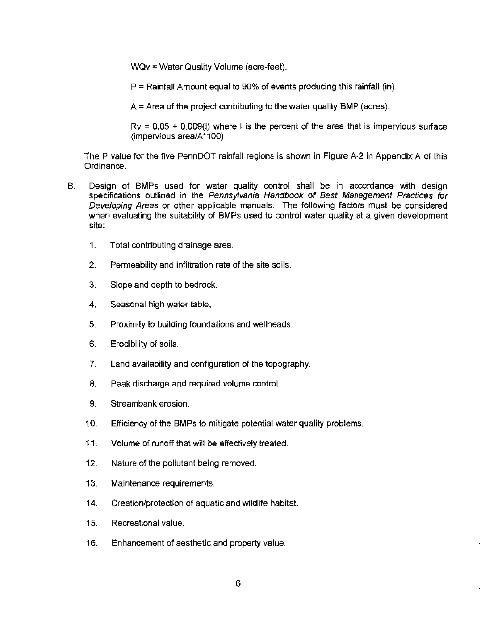WQv = Water Quality Volume (acre-feet).

 $P =$  Rainfall Amount equal to 90% of events producing this rainfall (in).

 $A =$  Area of the project contributing to the water quality BMP (acres).

 $Rv = 0.05 + 0.009(1)$  where I is the percent of the area that is impervious surface (impervious area/A\*100)

The P value for the five PennDOT rainfall regions is shown in Figure A-2 in Appendix A of this Ordinance.

- B. Design of BMPs used for water quality control shall be in accordance with design specifications outlined in the Pennsylvania Handbook of Best Management Practices for Developing Areas or other applicable manuals. The following factors must be considered when evaluating the suitability of BMPs used to control water quality at a given development site:
	- 1. Total contributing drainage area.
	- 2. Permeability and infiltration rate of the site soils.
	- 3. Slope and depth to bedrock.
	- 4. Seasonal high water table.
	- 5. Proximity to building foundations and wellheads.
	- 6. Erodibility of soils.
	- 7. Land availability and configuration of the topography.
	- 8. Peak discharge and required volume control.
	- 9. Streambank erosion.
	- 10. Efficiency of the BMPs to mitigate potential water quality problems.
	- 11 . Volume of runoff that will be effectively treated.
	- 12. Nature of the pollutant being removed.
	- 13. Maintenance requirements.
	- 14. Creation/protection of aquatic and wildlife habitat.
	- 15. Recreational value.
	- 16. Enhancement of aesthetic and property value.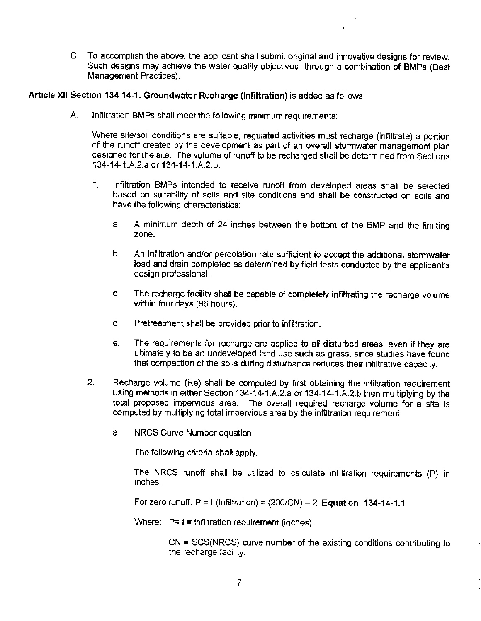C. To accomplish the above, the applicant shall submit original and innovative designs for review. Such designs may achieve the water quality objectives through a combination of BMPs (Best Management Practices).

'

**Article XII Section 134-14-1. Groundwater Recharge (Infiltration)** is added as follows:

A. Infiltration BMPs shall meet the following minimum requirements:

Where site/soil conditions are suitable, regulated activities must recharge (infiltrate) a portion of the runoff created by the development as part of an overall stormwater management plan designed for the site. The volume of runoff to be recharged shall be determined from Sections 134-14-1.A.2.a or 134-14-1.A.2.b.

- 1. Infiltration BMPs intended to receive runoff from developed areas shall be selected based on suitability of soils and site conditions and shall be constructed on soils and have the following characteristics:
	- a. A minimum depth of 24 inches between the bottom of the BMP and the limiting zone.
	- b. An infiltration and/or percolation rate sufficient to accept the additional stormwater load and drain completed as determined by field tests conducted by the applicant's design professional.
	- c. The recharge facility shall be capable of completely infiltrating the recharge volume within four days (96 hours}.
	- d. Pretreatment shall be provided prior to infiltration.
	- e. The requirements for recharge are applied to all disturbed areas, even if they are ultimately to be an undeveloped land use such as grass, since studies have found that compaction of the soils during disturbance reduces their infiltrative capacity.
- 2. Recharge volume (Re) shall be computed by first obtaining the infiltration requirement using methods in either Section 134-14·1.A.2.a or 134-14-1.A.2.b then multiplying by the total proposed impervious area. The overall required recharge volume for a site is computed by multiplying total impervious area by the infiltration requirement.
	- a. NRCS Curve Number equation.

The following criteria shall apply.

The NRCS runoff shall be utilized to calculate infiltration requirements (P) in inches.

For zero runoff: P = I (Infiltration)= (200/CN) - 2 **Equation: 134-14-1.1** 

Where:  $P=$  i = infiltration requirement (inches).

CN = SCS(NRCS) curve number of the existing conditions contributing to the recharge facility.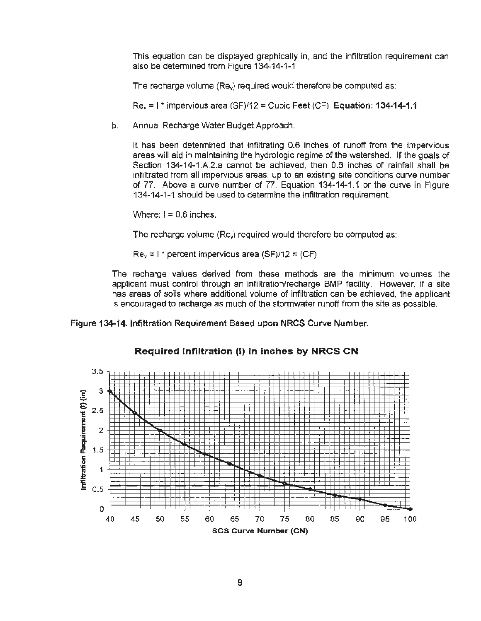This equation can be displayed graphically in, and the infiltration requirement can also be determined from Figure 134·14-1-1.

The recharge volume (Rev) required would therefore be computed as:

Rev= I\* impervious area (SF)/12 = Cubic Feet (CF) **Equation: 134-14-1.1** 

b. Annual Recharge Water Budget Approach.

It has been determined that infiltrating 0.6 inches of runoff from the impervious areas will aid in maintaining the hydrologic regime of the watershed. If the goals of Section 134·14-1.A.2.a cannot be achieved, then 0.6 inches of rainfall shall be infiltrated from all impervious areas, up to an existing site conditions curve number of 77. Above a curve number of 77, Equation 134-14-1.1 or the curve in Figure 134·14-1-1 should be used to determine the Infiltration requirement.

 $\text{Where: } I = 0.6 \text{ inches.}$ 

The recharge volume (Rev) required would therefore be computed as:

 $Re<sub>v</sub> = 1*$  percent impervious area (SF)/12 = (CF)

The recharge values derived from these methods are the minimum volumes the applicant must control through an infiltration/recharge BMP facility. However, if a site has areas of soils where additional volume of infiltration can be achieved, the applicant is encouraged to recharge as much of the stormwater runoff from the site as possible.

**Figure 134-14. lnfittration Requirement Based upon NRCS Curve Number.** 

### **Required Infiltration** (I) **in inches by NRCS CN**

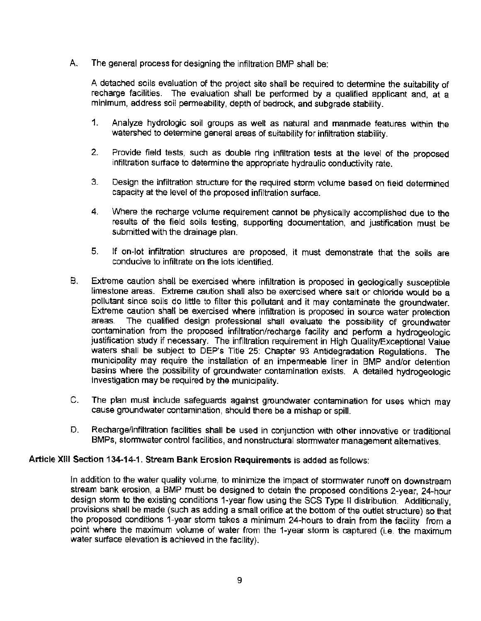A. The general process for designing the infiltration BMP shall be:

A detached soils evaluation of the project site shall be required to determine the suitability of recharge facilities. The evaluation shall be performed by a qualified applicant and, at a minimum, address soil permeability, depth of bedrock, and subgrade stability.

- 1. Analyze hydrologic soil groups as well as natural and manmade features within the watershed to determine general areas of suitability for infiltration stability.
- 2. Provide field tests, such as double ring infiltration tests at the level of the proposed infiltration surface to determine the appropriate hydraulic conductivity rate.
- 3. Design the infiltration structure for the required storm volume based on field determined capacity at the level of the proposed infiltration surface.
- 4. Where the recharge volume requirement cannot be physically accomplished due to the results of the field soils testing, supporting documentation, and justification must be submitted with the drainage plan.
- 5. If on-lot infiltration structures are proposed, it must demonstrate that the soils are conducive to infiltrate on the lots identified.
- B. Extreme caution shall be exercised where infiltration is proposed in geologically susceptible limestone areas. Extreme caution shall also be exercised where salt or chloride would be a pollutant since soils do little to filter this pollutant and it may contaminate the groundwater. Extreme caution shall be exercised where infiltration is proposed in source water protection areas. The qualified design professional shall evaluate the possibility of groundwater contamination from the proposed infiltration/recharge facility and perform a hydrogeologic justification study if necessary. The infiltration requirement in High Quality/Exceptional Value waters shall be subject to DEP's Title 25: Chapter 93 Antidegradation Regulations. The municipality may require the installation of an impermeable liner in BMP and/or detention basins where the possibility of groundwater contamination exists. A detailed hydrogeologic investigation may be required by the municipality.
- C. The plan must include safeguards against groundwater contamination for uses which may cause groundwater contamination, should there be a mishap or spill.
- D. Recharge/infiltration facilities shall be used in conjunction with other innovative or traditional BMPs, stormwater control facilities, and nonstructural stormwater management alternatives.

# Article XIII Section 134-14-1. Stream Bank Erosion Requirements is added as follows:

In addition to the water quality volume, to minimize the impact of stormwater runoff on downstream stream bank erosion, a BMP must be designed to detain the proposed conditions 2-year, 24-hour design storm to the existing conditions 1-year flow using the SCS Type II distribution. Additionally, provisions shall be made (such as adding a small orifice at the bottom of the outlet structure) so that the proposed conditions 1-year storm takes a minimum 24-hours to drain from the facility from a point where the maximum volume of water from the 1-year storm is captured (i.e. the maximum water surface elevation is achieved in the facility).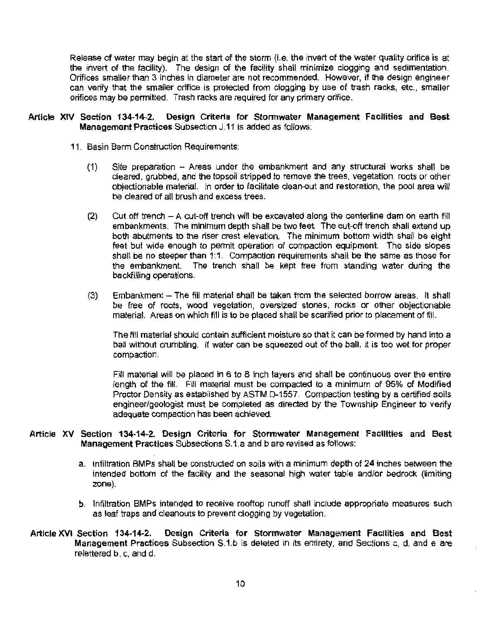Release of water may begin at the start of the storm (i.e. the invert of the water quality orifice is at the invert of the facility). The design of the facility shall minimize clogging and sedimentation. Orifices smaller than 3 inches in diameter are not recommended. However, if the design engineer can verify that the smaller orifice is protected from clogging by use of trash racks, etc., smaller orifices may be permitted. Trash racks are required for any primary orifice.

### **Article XIV Section 134-14-2. Design Criteria for Stormwater Management Facilities and Best Management Practices** Subsection J.11 is added as follows:

- 11. Basin Berm Construction Requirements:
	- (1) Site preparation  $-$  Areas under the embankment and any structural works shall be cleared, grubbed, and the topsoil stripped to remove the trees, vegetation, roots or other objectionable material. In order to facilitate clean-out and restoration, the pool area will be cleared of alt brush and excess trees.
	- (2) Cut off trench A cut-off trench will be excavated along the centerline dam on earth fill embankments. The minimum depth shall be two feet. The cut-off trench shall extend up both abutments to the riser crest elevation. The minimum bottom width shall be eight feet but wide enough to permit operation of compaction equipment. The side slopes shall be no steeper than 1:1. Compaction requirements shall be the same as those for the embankment. The trench shall be kept free from standing water during the backfilling operations.
	- (3) Embankment The fill material shall be taken from the selected borrow areas. It shall be free of roots, wood vegetation, oversized stones, rocks or other objectionable material. Areas on which fill is to be placed shall be scarified prior to placement of fill.

The fill material should contain sufficient moisture so that it can be formed by hand into a ball without crumbling. If water can be squeezed out of the ball, it is too wet for proper compaction.

Fill material will be placed in 6 to 8 inch layers and shall be continuous over the entire length of the fill. Fill material must be compacted to a minimum of 95% of Modified Proctor Density as established by ASTM D-1557. Compaction testing by a certified soils engineer/geologist must be completed as directed by the Township Engineer to verify adequate compaction has been achieved.

### **Article XV Section 134-14-2. Oesrgn Criteria for Stormwater Management Facilities and Best Management Practices** Subsections S.1.a and b are revised as follows:

- a. Infiltration BMPs shall be constructed on soils with a minimum depth of 24 inches between the intended bottom of the facility and the seasonal high water table and/or bedrock (limiting zone).
- b. Infiltration BMPs intended to receive rooftop runoff shall include appropriate measures such as leaf traps and cleanouts to prevent clogging by vegetation.
- **Article XVI Section 134~14-2. Design Criteria for Stormwater Management Facilities and Best Management Practices** Subsection S.1.b is deleted in its entirety, and Sections c, d, and e are relettered b, c, and d.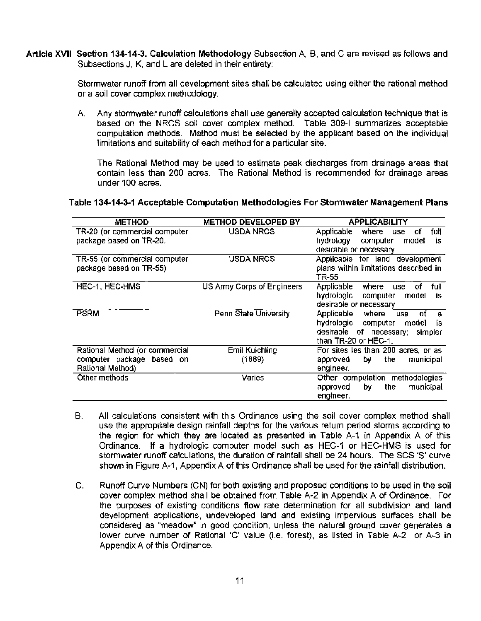**Article XVII Section 134-14-3. Calculation Methodology** Subsection A, 8, and Care revised as follows and Subsections J, K, and Lare deleted in their entirety:

> Stormwater runoff from all development sites shall be calculated using either the rational method or a soil cover complex methodology.

> A. Any stormwater runoff calculations shall use generally accepted calculation technique that is based on the NRCS soil cover complex method. Table 309-1 summarizes acceptable computation methods. Method must be selected by the applicant based on the individual limitations and suitability of each method for a particular site.

The Rational Method may be used to estimate peak discharges from drainage areas that contain less than 200 acres. The Rational Method is recommended for drainage areas under 100 acres.

### **Table 134-14-3-1 Acceptable Computation Methodologies For Stormwater Management Plans**

| <b>METHOD</b>                  | <b>METHOD DEVELOPED BY</b> | <b>APPLICABILITY</b>                            |
|--------------------------------|----------------------------|-------------------------------------------------|
| TR-20 (or commercial computer  | USDA NRCS                  | where<br>full<br>Applicable<br><b>use</b><br>Οf |
| package based on TR-20.        |                            | hydrology<br>computer<br>model<br>is.           |
|                                |                            | desirable or necessary                          |
| TR-55 (or commercial computer  | USDA NRCS                  | Applicable for land development                 |
| package based on TR-55)        |                            | plans within limitations described in<br>TR-55  |
| HEC-1, HEC-HMS                 | US Army Corps of Engineers | Applicable<br>full<br>where<br>οf<br>use        |
|                                |                            | hydrologic<br>computer<br>model<br>İS.          |
|                                |                            | desirable or necessary                          |
| <b>PSRM</b>                    | Penn State University      | Applicable<br>οf<br>where<br><b>use</b><br>а    |
|                                |                            | hydrologic<br>computer<br>model<br>is           |
|                                |                            | desirable<br>of necessary;<br>simpler           |
|                                |                            | than TR-20 or HEC-1.                            |
| Rational Method (or commercial | Emil Kuichling             | For sites les than 200 acres, or as             |
| computer package based on      | (1889)                     | approved<br>the<br>municipal<br>by              |
| Rational Method)               |                            | engineer.                                       |
| Other methods                  | Varies                     | Other computation methodologies                 |
|                                |                            | municipal<br>approved<br>the.<br>by             |
|                                |                            | engineer.                                       |

- B. All calculations consistent with this Ordinance using the soil cover complex method shall use the appropriate design rainfall depths for the various return period storms according to the region for which they are located as presented in Table A-1 in Appendix A of this Ordinance. If a hydrologic computer model such as HEC-1 or HEC-HMS is used for stormwater runoff calculations, the duration of rainfall shall be 24 hours. The SCS 'S' curve shown in Figure A-1, Appendix A of this Ordinance shall be used for the rainfall distribution.
- C. Runoff Curve Numbers (CN) for both existing and proposed conditions to be used in the soil cover complex method shall be obtained from Table A-2 in Appendix A of Ordinance. For the purposes of existing conditions flow rate determination for all subdivision and land development applications, undeveloped land and existing impervious surfaces shall be considered as "meadow" in good condition, unless the natural ground cover generates a lower curve number of Rational 'C' value (i.e. forest), as listed in Table A-2 or A-3 in Appendix A of this Ordinance.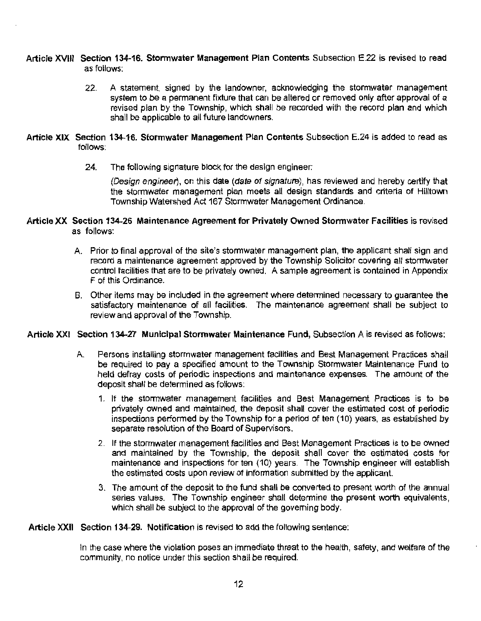### **Article XVIII Section 134-16. Stormwater Management Plan Contents** Subsection E.22 is revised to read as follows:

22. A statement, signed by the landowner, acknowledging the stonnwater management system to be a permanent fixture that can be altered or removed only after approval of a revised plan by the Township, which shall be recorded with the record plan and which shall be applicable to all future landowners.

### Article XIX Section 134~16. Stormwater Management Plan Contents Subsection E.24 is added to read as follows:

24. The following signature block for the design engineer:

(Design engineer), on this date (date of signature), has reviewed and hereby certify that the stormwater management plan meets all design standards and criteria of Hilltown Township Watershed Act 167 Stormwater Management Ordinance.

## **Article XX Section 134-26 Maintenance Agreement for Privately Owned Stormwater Facilities** is revised as follows:

- A. Prior to final approval of the site's stormwater management plan, the applicant shall sign and record a maintenance agreement approved by the Township Solicitor covering all stonnwater control facilities that are to be privately owned. A sample agreement is contained in Appendix F of this Ordinance.
- B. Other items may be included in the agreement where determined necessary to guarantee the satisfactory maintenance of all facilities. The maintenance agreement shall be subject to review and approval of the Township.

### Article XXI Section 134-27 Municipal Stormwater Maintenance Fund, Subsection A is revised as follows:

- A. Persons installing stormwater management facilities and Best Management Practices shall be required to pay a specified amount to the Township Stormwater Maintenance Fund to held defray costs of periodic inspections and maintenance expenses. The amount of the deposit shall be determined as follows:
	- 1. If the stormwater management facilities and Best Management Practices is to be privately owned and maintained, the deposit shall cover the estimated cost of periodic inspections performed by the Township for a period of ten (10) years, as established by separate resolution of the Board of Supervisors.
	- 2. If the stormwater management facilities and Best Management Practices is to be owned and maintained by the Township, the deposit shall cover the estimated costs for maintenance and inspections for ten {10) years. The Township engineer will establish the estimated costs upon review of information submitted by the applicant.
	- 3. The amount of the deposit to the fund shall be converted to present worth of the annual series values. The Township engineer shall determine the present worth equivalents, which shall be subject to the approval of the governing body.

**Article XXII Section 134-29. Notification** is revised to add the following sentence:

In the case where the violation poses an Immediate threat to the health, safety, and welfare of the community, no notice under this section shall be required.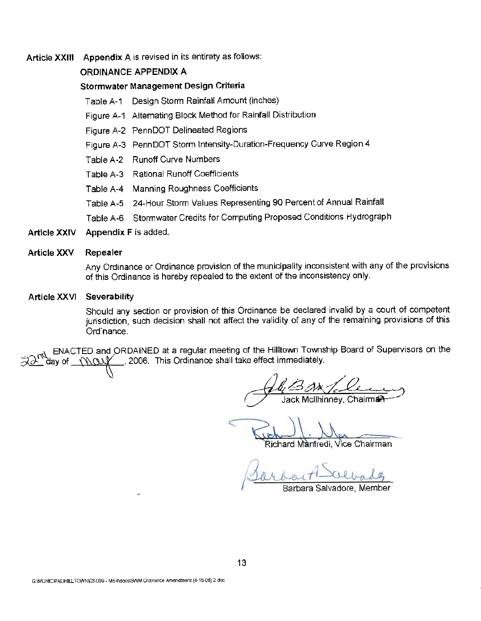**Article XXIII Appendix A** is revised in its entirety as follows:

# **ORDINANCE APPENDIX A**

### **Stormwater Management Design Criteria**

- Table A-1 Design Storm Rainfall Amount (inches)
- Figure A-1 Alternating Block Method for Rainfall Distribution
- Figure A-2 PennDOT Delineated Regions
- Figure A-3 PennDOT Storm Intensity-Duration-Frequency Curve Region 4
- Table A-2 Runoff Curve Numbers
- Table A-3 Rational Runoff Coefficients
- Table A-4 Manning Roughness Coefficients
- Table A-5 24-Hour Storm Values Representing 90 Percent of Annual Rainfall
- Table A-6 Stormwater Credits for Computing Proposed Conditions Hydrograph
- Article XXIV Appendix F is added.

#### **Article XXV Repealer**

Any Ordinance or Ordinance provision of the municipality inconsistent with any of the provisions of this Ordinance is hereby repealed to the extent of the inconsistency only.

#### **Article XXVI Severability**

Should any section or provision of this Ordinance be declared invalid by a court of competent jurisdiction, such decision shall not affect the validity of any of the remaining provisions of this Ordinance.

ENACTED and ORDAINED at a regular meeting of the Hilltown Township Board of Supervisors on the lay of <u>\_\_{\\Q\\</u>/^\_\_\_, 2006. This Ordinance shall take effect immediately.

Richard Manfredi, Vice Chairman

Barbart Scevades

Barbara Sa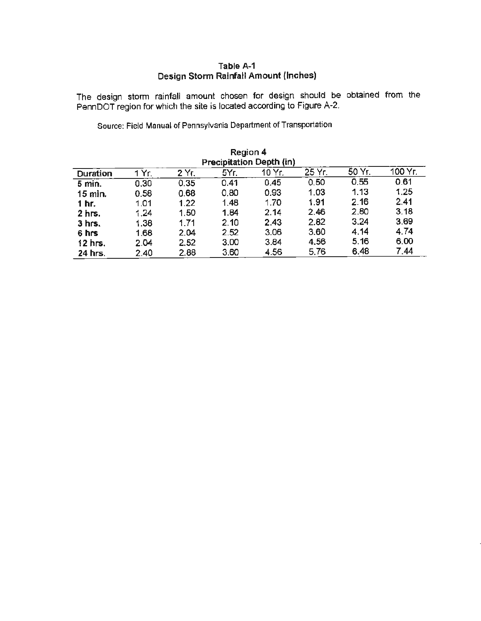# **Table A-1 Design Storm Rainfall Amount (Inches)**

The design storm rainfall amount chosen for design should be obtained from the Penn DOT region for which the site is located according to Figure A-2.

Source: Field Manual of Pennsylvania Department of Transportation

| Region 4<br>Precipitation Depth (in)                                        |      |      |      |      |      |      |      |
|-----------------------------------------------------------------------------|------|------|------|------|------|------|------|
| 50 Yr.<br>100 Yr.<br>25 Yr.<br>10 Yr.<br>5Yr.<br>1 Yr.<br>2 Yr.<br>Duration |      |      |      |      |      |      |      |
| $5$ min.                                                                    | 0.30 | 0.35 | 0.41 | 0.45 | 0.50 | 0.55 | 0.61 |
| 15 min.                                                                     | 0.58 | 0.68 | 0.80 | 0.93 | 1.03 | 1.13 | 1.25 |
| 1 hr.                                                                       | 1.01 | 1,22 | 1.48 | 1.70 | 1.91 | 2.16 | 2.41 |
| $2$ hrs.                                                                    | 1.24 | 1,50 | 1.84 | 2.14 | 2.46 | 2.80 | 3.18 |
| $3$ hrs.                                                                    | 1.38 | 1.71 | 2.10 | 2.43 | 2.82 | 3.24 | 3.69 |
| 6 hrs                                                                       | 1.68 | 2.04 | 2.52 | 3.06 | 3.60 | 4.14 | 4.74 |
| $12$ hrs.                                                                   | 2.04 | 2.52 | 3.00 | 3.84 | 4.56 | 5.16 | 6.00 |
| 24 hrs.                                                                     | 2.40 | 2.88 | 3.60 | 4.56 | 5.76 | 6.48 | 7.44 |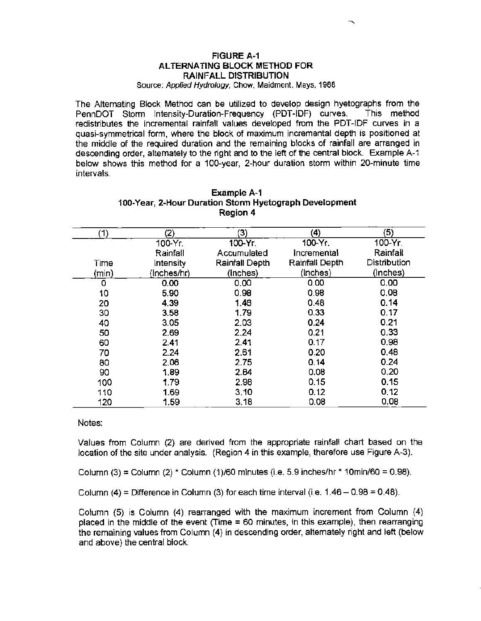### **FIGURE A-1 AL TERNA TING BLOCK METHOD FOR RAINFALL DISTRIBUTION**

Source: Applied Hydrology, Chow, Maidment, Mays, 1988

The Alternating Block Method can be utilized to develop design hyetographs from the PennDOT Storm Intensity-Duration-Frequency (PDT-IDF) curves. This method redistributes the incremental rainfall values developed from the PDT-IDF curves in a quasi-symmetrical form, where the block of maximum incremental depth is positioned at the middle of the required duration and the remaining blocks of rainfall are arranged in descending order, altemately to the right and to the left of the central block. Example A-1 below shows this method for a 100-year, 2-hour duration storm within 20-minute time intervals.

| (1)   | (2)         | (3)            | (4)            | (5)          |
|-------|-------------|----------------|----------------|--------------|
|       | 100-Yr.     | 100-Үг.        | 100-Yr.        | 100-Yr.      |
|       | Rainfall    | Accumulated    | Incremental    | Rainfall     |
| Time  | Intensity   | Rainfall Depth | Rainfall Depth | Distribution |
| (min) | (Inches/hr) | (Inches)       | (Inches)       | (Inches)     |
| 0     | 0.00        | 0.00           | 0.00           | 0.00         |
| 10    | 5.90        | 0.98           | 0.98           | 0.08         |
| 20    | 4.39        | 1.46           | 0.48           | 0.14         |
| 30    | 3.58        | 1.79           | 0.33           | 0.17         |
| 40    | 3.05        | 2.03           | 0.24           | 0.21         |
| 50    | 2.69        | 2.24           | 0.21           | 0.33         |
| 60    | 2.41        | 2.41           | 0.17           | 0.98         |
| 70    | 2.24        | 2.61           | 0.20           | 0.48         |
| 80    | 2.06        | 2.75           | 0.14           | 0.24         |
| 90    | 1.89        | 2.84           | 0.08           | 0,20         |
| 100   | 1.79        | 2.98           | 0.15           | 0.15         |
| 110   | 1.69        | 3.10           | 0.12           | 0.12         |
| 120   | 1.59        | 3.18           | 0.08           | 0.08         |

| Example A-1                                            |
|--------------------------------------------------------|
| 100-Year, 2-Hour Duration Storm Hyetograph Development |
| Region 4                                               |

Notes:

Values from Column (2) are derived from the appropriate rainfall chart based on the location of the site under analysis. (Region 4 in this example, therefore use Figure A-3).

Column  $(3)$  = Column  $(2)$  \* Column  $(1)/60$  minutes  $(i.e. 5.9$  inches/hr \* 10min/60 = 0.98).

Column  $(4)$  = Difference in Column  $(3)$  for each time interval (i.e.  $1.46 - 0.98 = 0.48$ ).

Column (5) is Column (4) rearranged with the maximum increment from Column (4) placed in the middle of the event (Time = 60 minutes, in this example), then rearranging the remaining values from Column (4) in descending order, alternately right and left (below and above) the central block.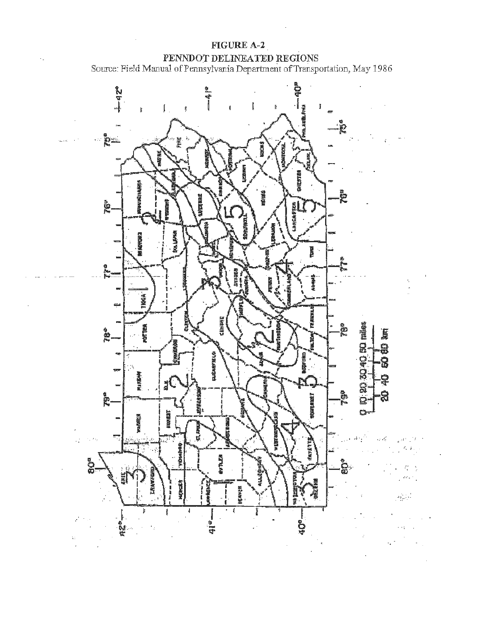

 $\epsilon_{\rm{in}}$ 

 $\frac{1}{\sqrt{2}}\left(\frac{q}{\sqrt{2}}\right)^{2}$  .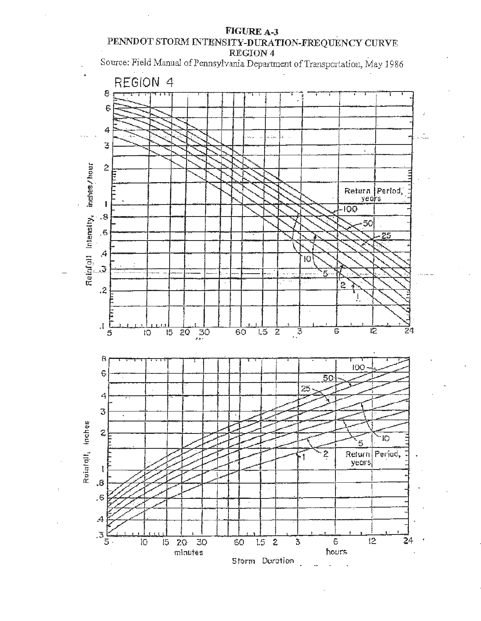# **FIGUREA-3** . **PENNDOT STORM INTENSITY-DURATION-FREQUENCY CURVE REGI0N4** .

\$ource: Field Manual of Pennsylvania Department of Transportation, May 1986



,.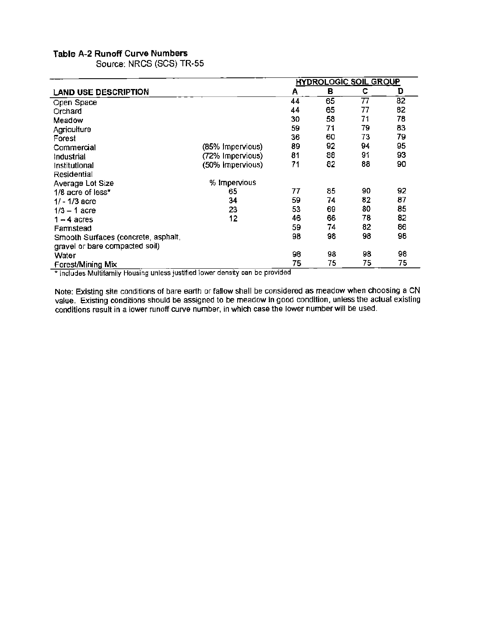## **Table A-2 Runoff Curve Numbers**

Source: NRCS (SCS) TR-55

|                                     |                  | <b>HYDROLOGIC SOIL GROUP</b> |    |    |    |
|-------------------------------------|------------------|------------------------------|----|----|----|
| LAND USE DESCRIPTION                |                  | Α                            | в  | с  | D  |
| Open Space                          |                  | 44                           | 65 | 77 | 82 |
| Orchard                             |                  | 44                           | 65 | 77 | 82 |
| Meadow                              |                  | 30                           | 58 | 71 | 78 |
| Agriculture                         |                  | 59                           | 71 | 79 | 83 |
| Forest                              |                  | 36                           | 60 | 73 | 79 |
| Commercial                          | (85% Impervious) | 89                           | 92 | 94 | 95 |
| Industrial                          | (72% Impervious) | 81                           | 88 | 91 | 93 |
| Institutional                       | (50% Impervious) | 71                           | 82 | 88 | 90 |
| Residential                         |                  |                              |    |    |    |
| Average Lot Size                    | % Impervious     |                              |    |    |    |
| 1/8 acre of less*                   | 65               | 77                           | 85 | 90 | 92 |
| $1/ - 1/3$ acre                     | 34               | 59                           | 74 | 82 | 87 |
| $1/3 - 1$ acre                      | 23               | 53                           | 69 | 80 | 85 |
| $1 - 4$ acres                       | 12               | 46                           | 66 | 78 | 82 |
| Farmstead                           |                  | 59                           | 74 | 82 | 86 |
| Smooth Surfaces (concrete, asphalt, |                  | 98                           | 98 | 98 | 98 |
| gravel or bare compacted soil)      |                  |                              |    |    |    |
| Water                               |                  | 98                           | 98 | 98 | 98 |
| Forest/Mining Mix                   |                  | 75                           | 75 | 75 | 75 |

\* Includes Multifamily Housing unless justified lower density can be provided

Note: Existing site conditions of bare earth or fallow shall be considered as meadow when choosing a CN value. Existing conditions should be assigned to be meadow in good condition, unless the actual existing conditions result in a lower runoff curve number, in which case the lower number will be used.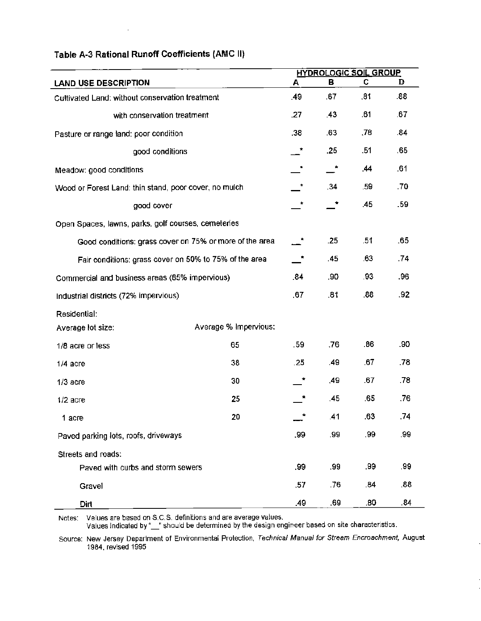|                                                         |                       |     |     | <b>HYDROLOGIC SOIL GROUP</b> |     |
|---------------------------------------------------------|-----------------------|-----|-----|------------------------------|-----|
| <b>LAND USE DESCRIPTION</b>                             |                       | Α   | в   | C.                           | D   |
| Cultivated Land: without conservation treatment         |                       | .49 | .67 | .81                          | .88 |
| with conservation treatment                             |                       | .27 | .43 | .61                          | .67 |
| Pasture or range land: poor condition                   |                       | .38 | .63 | .78                          | .84 |
| good conditions                                         |                       | *   | .25 | .51                          | .65 |
| Meadow: good conditions                                 |                       |     | ×   | .44                          | .61 |
| Wood or Forest Land: thin stand, poor cover, no mulch   |                       | *   | 34  | .59                          | .70 |
| good cover                                              |                       | *   |     | .45                          | .59 |
| Open Spaces, lawns, parks, golf courses, cemeteries     |                       |     |     |                              |     |
| Good conditions: grass cover on 75% or more of the area |                       |     | .25 | .51                          | .65 |
| Fair conditions: grass cover on 50% to 75% of the area  |                       |     | .45 | .63                          | .74 |
| Commercial and business areas (85% impervious)          |                       | .84 | ,90 | .93                          | .96 |
| Industrial districts (72% impervious)                   |                       | .67 | .81 | .88                          | .92 |
| Residential:                                            |                       |     |     |                              |     |
| Average lot size:                                       | Average % Impervious: |     |     |                              |     |
| 1/8 acre or less                                        | 65                    | .59 | .76 | .86                          | .90 |
| $1/4$ acre                                              | 38                    | .25 | .49 | .67                          | .78 |
| $1/3$ acre                                              | 30                    | ÷   | .49 | .67                          | .78 |
| $1/2$ acre                                              | 25                    |     | .45 | .65                          | .76 |
| 1 acre                                                  | 20                    |     | .41 | .63                          | .74 |
| Paved parking lots, roofs, driveways                    |                       | .99 | .99 | .99                          | .99 |
| Streets and roads:                                      |                       |     |     |                              |     |
| Paved with curbs and storm sewers                       |                       | .99 | .99 | .99                          | .99 |
| Gravel                                                  |                       | .57 | .76 | .84                          | .88 |
| Dirt                                                    |                       | .49 | .69 | .80                          | .84 |

# Table A-3 Rational Runoff Coefficients (AMC II)

 $\bar{z}$ 

Notes: Values are based on S.C.S. definitions and are average values.

Values indicated by"~' should be determined by the design engineer based on site characteristics.

Source: New Jersey Department of Environmental Protection, Technical Manual for Stream Encroachment, August 1984. revised 1995

 $\cdot$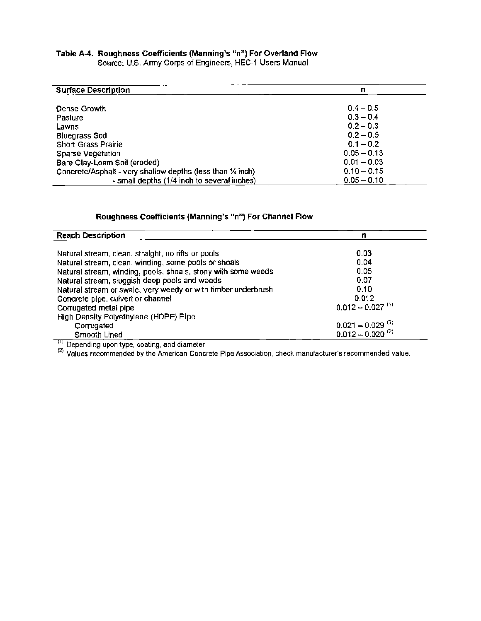#### **Table A-4. Roughness Coefficients (Manning's "n") For Overland Flow**  Source: U.S. Anny Corps of Engineers, HEC-1 Users Manual

| <b>Surface Description</b>                                  | n             |
|-------------------------------------------------------------|---------------|
| Dense Growth                                                | $0.4 - 0.5$   |
| Pasture                                                     | $0.3 - 0.4$   |
| Lawns                                                       | $0.2 - 0.3$   |
| <b>Bluegrass Sod</b>                                        | $0.2 - 0.5$   |
| <b>Short Grass Prairie</b>                                  | $0.1 - 0.2$   |
| Sparse Vegetation                                           | $0.05 - 0.13$ |
| Bare Clay-Loam Soil (eroded)                                | $0.01 - 0.03$ |
| Concrete/Asphalt - very shallow depths (less than 1/4 inch) | $0.10 - 0.15$ |
| - small depths (1/4 inch to several inches)                 | $0.05 - 0.10$ |

# **Roughness Coefficients (Manning's "n") For Channel Flow**

| <b>Reach Description</b>                                      | n                              |
|---------------------------------------------------------------|--------------------------------|
|                                                               |                                |
| Natural stream, clean, straight, no rifts or pools            | 0.03                           |
| Natural stream, clean, winding, some pools or shoals          | 0.04                           |
| Natural stream, winding, pools, shoals, stony with some weeds | 0.05                           |
| Natural stream, sluggish deep pools and weeds                 | 0.07                           |
| Natural stream or swale, very weedy or with timber underbrush | 0.10                           |
| Concrete pipe, culvert or channel                             | 0.012                          |
| Corrugated metal pipe                                         | $0.012 - 0.027$ <sup>(1)</sup> |
| High Density Polyethylene (HDPE) Pipe                         |                                |
| Corrugated                                                    | $0.021 - 0.029$ <sup>(2)</sup> |
| Smooth Lined                                                  | $0.012 - 0.020^{(2)}$          |

<sup>())</sup> Depending upon type, coating, and diameter<br><sup>(2)</sup> Values recommended by the American Concrete Pipe Association, check manufacturer's recommended value.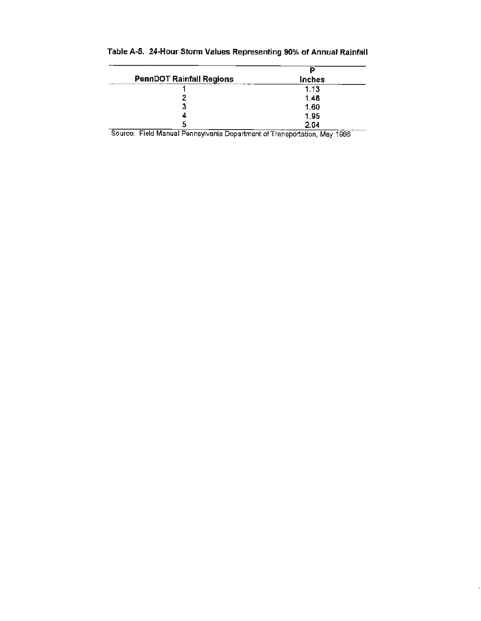| <b>PennDOT Rainfall Regions</b> | <b>Inches</b> |
|---------------------------------|---------------|
|                                 | 1.13          |
|                                 | 1.48          |
| 3                               | 1.60          |
|                                 | 1.95          |
| ь                               | 2.04          |

# Table A-5. 24-Hour Storm Values Representing 90% of Annual Rainfall

Source: Field Manual Pennsylvania Departmant of Transportation, May 1986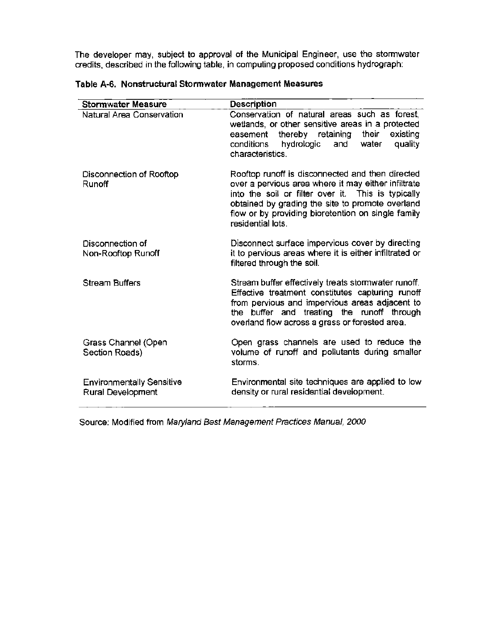The developer may, subject to approval of the Municipal Engineer, use the stormwater credits. described in the following table, in computing proposed conditions hydrograph:

| <b>Stormwater Measure</b>                             | Description                                                                                                                                                                                                                                                                                  |
|-------------------------------------------------------|----------------------------------------------------------------------------------------------------------------------------------------------------------------------------------------------------------------------------------------------------------------------------------------------|
| Natural Area Conservation                             | Conservation of natural areas such as forest,<br>wetlands, or other sensitive areas in a protected<br>thereby retaining<br>their<br>easement<br>existing<br>hydrologic<br>quality<br>and<br>water<br>conditions<br>characteristics.                                                          |
| Disconnection of Rooftop<br><b>Runoff</b>             | Rooftop runoff is disconnected and then directed<br>over a pervious area where it may either infiltrate<br>into the soil or filter over it. This is typically<br>obtained by grading the site to promote overland<br>flow or by providing bioretention on single family<br>residential lots. |
| Disconnection of<br>Non-Rooftop Runoff                | Disconnect surface impervious cover by directing<br>it to pervious areas where it is either infiltrated or<br>filtered through the soil.                                                                                                                                                     |
| <b>Stream Buffers</b>                                 | Stream buffer effectively treats stormwater runoff.<br>Effective treatment constitutes capturing runoff<br>from pervious and impervious areas adjacent to<br>the buffer and treating the runoff through<br>overland flow across a grass or forested area.                                    |
| Grass Channel (Open<br>Section Roads)                 | Open grass channels are used to reduce the<br>volume of runoff and pollutants during smaller<br>storms.                                                                                                                                                                                      |
| <b>Environmentally Sensitive</b><br>Rural Development | Environmental site techniques are applied to low<br>density or rural residential development.                                                                                                                                                                                                |

**Table A-6. Nonstructural Stormwater Management Measures** 

Source: Modified from Maryland Best Management Practices Manual, 2000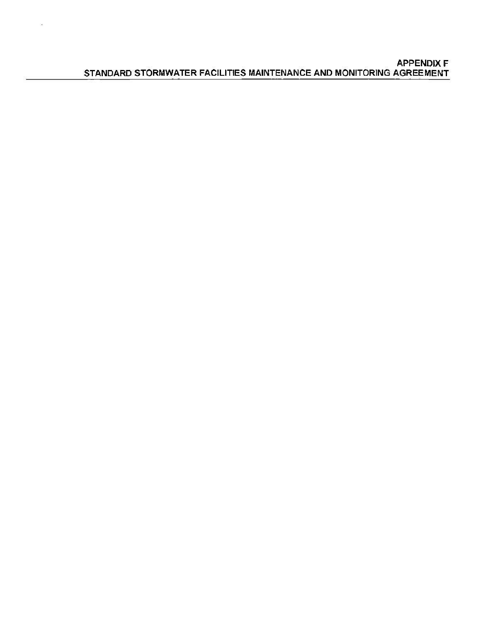$\overline{\phantom{a}}$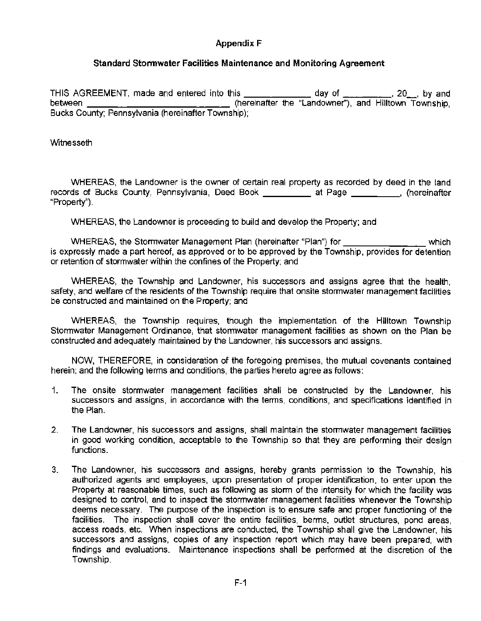# **Appendix** F

# **Standard Stonnwater Facilities Maintenance and Monitoring Agreement**

THIS AGREEMENT, made and entered into this  $\frac{1}{1}$  and  $\frac{1}{1}$  day of  $\frac{1}{1}$ ,  $\frac{1}{1}$ , 20<sub>\_,</sub> by and between \_\_\_\_\_\_\_\_\_\_\_\_\_\_\_\_\_\_\_\_\_\_\_\_\_\_\_\_\_\_\_\_ (hereinafter the "Landowner"), and Hilltown Township, Bucks County; Pennsylvania (hereinafter Township);

## **Witnesseth**

WHEREAS, the Landowner is the owner of certain real property as recorded by deed in the land records of Bucks County, Pennsylvania, Deed Book \_\_\_\_\_\_\_\_\_\_ at Page \_\_\_\_\_\_\_\_, (hereinafter "Property").

WHEREAS, the Landowner is proceeding to build and develop the Property; and

WHEREAS, the Stormwater Management Plan (hereinafter "Plan") for which is expressly made a part hereof, as approved or to be approved by the Township, provides for detention or retention of stormwater within the confines of the Property; and

WHEREAS, the Township and Landowner, his successors and assigns agree that the health, safety, and welfare of the residents of the Township require that onsite stormwater management facilities be constructed and maintained on the Property; and

WHEREAS, the Township requires, though the implementation of the Hilltown Township Stormwater Management Ordinance, that stormwater management facilities as shown on the Plan be constructed and adequately maintained by the Landowner, his successors and assigns.

NOW, THEREFORE, in consideration of the foregoing premises, the mutual covenants contained herein; and the following terms and conditions, the parties hereto agree as follows:

- 1. The onsite stormwater management facilities shall be constructed by the Landowner, his successors and assigns, in accordance with the terms, conditions, and specifications identified in the Plan.
- 2. The Landowner, his successors and assigns, shall maintain the stormwater management facilities in good working condition, acceptable to the Township so that they are performing their design functions.
- 3. The Landowner, his successors and assigns, hereby grants permission to the Township, his authorized agents and employees, upon presentation of proper identification, to enter upon the Property at reasonable times, such as following as storm of the intensity for which the facility was designed to control, and to inspect the stormwater management facilities whenever the Township deems necessary. The purpose of the inspection is to ensure safe and proper functioning of the facilities. The inspection shall cover the entire facilities, berms, outlet structures, pond areas, access roads, etc. When inspections are conducted, the Township shall give the Landowner, his successors and assigns, copies of any inspection report which may have been prepared, with findings and evaluations. Maintenance inspections shall be performed at the discretion of the Township.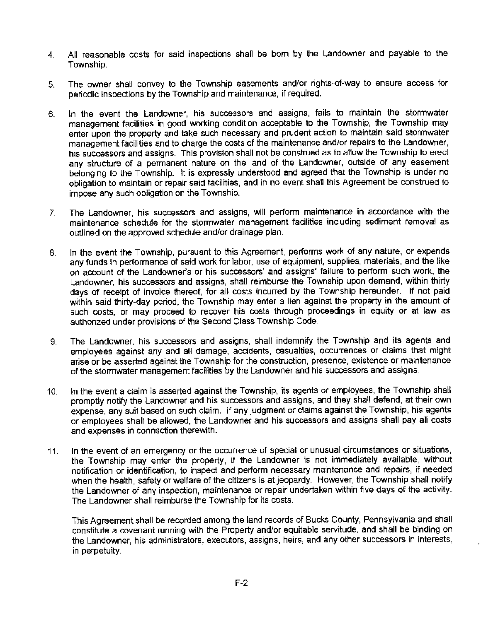- 4. All reasonable costs for said inspections shall be born by the Landowner and payable to the Township.
- 5. The owner shall convey to the Township easements and/or rights-of-way to ensure access for periodic inspections by the Township and maintenance, if required.
- 6. In the event the Landowner, his successors and assigns, fails to maintain the stormwater management facilities in good working condition acceptable to the Township, the Township may enter upon the property and take such necessary and prudent action to maintain said stormwater management facilities and to charge the costs of the maintenance and/or repairs to the Landowner, his successors and assigns. This provision shall not be construed as to allow the Township to erect any structure of a permanent nature on the land of the Landowner, outside of any easement belonging to the Township. It is expressly understood and agreed that the Township is under no obligation to maintain or repair said facilities, and in no event shall this Agreement be construed to impose any such obligation on the Township.
- 7. The Landowner, his successors and assigns, will perform maintenance in accordance with the maintenance schedule for the stormwater management facilities including sediment removal as outlined on the approved schedule and/or drainage plan.
- 8. In the event the Township, pursuant to this Agreement, performs work of any nature, or expends any funds in performance of said work for labor, use of equipment, supplies, materials, and the like on account of the Landowner's or his successors' and assigns' failure to perform such work, the Landowner, his successors and assigns, shall reimburse the Township upon demand, within thirty days of receipt of invoice thereof, for all costs incurred by the Township hereunder. If not paid within said thirty~day period, the Township may enter a lien against the property in the amount of such costs, or may proceed to recover his costs through proceedings in equity or at law as authorized under provisions of the Second Class Township Code.
- 9. The Landowner, his successors and assigns, shall indemnify the Township and its agents and employees against any and all damage, accidents, casualties, occurrences or claims that might arise or be asserted against the Township for the construction, presence, existence or maintenance of the stormwater management facilities by the Landowner and his successors and assigns.
- 10. In the event a claim is asserted against the Township, its agents or employees, the Township shall promptly notify the Landowner and his successors and assigns, and they shall defend, at their own expense, any suit based on such claim. If any judgment or claims against the Township, his agents or employees shalt be allowed, the Landowner and his successors and assigns shall pay all costs and expenses in connection therewith.
- 11. In the event of an emergency or the occurrence of special or unusual circumstances or situations, the Township may enter the property, if the Landowner is not immediately available, without notification or identification, to inspect and perform necessary maintenance and repairs, if needed when the health, safety or welfare of the citizens is at jeopardy. However, the Township shall notify the landowner of any inspection, maintenance or repair undertaken within five days of the activity. The Landowner shall reimburse the Township for its costs.

This Agreement shall be recorded among the land records of Bucks County, Pennsylvania and shall constitute a covenant running with the Property and/or equitable servitude, and shall be binding on the Landowner, his administrators, executors, assigns, heirs, and any other successors in interests, in perpetuity.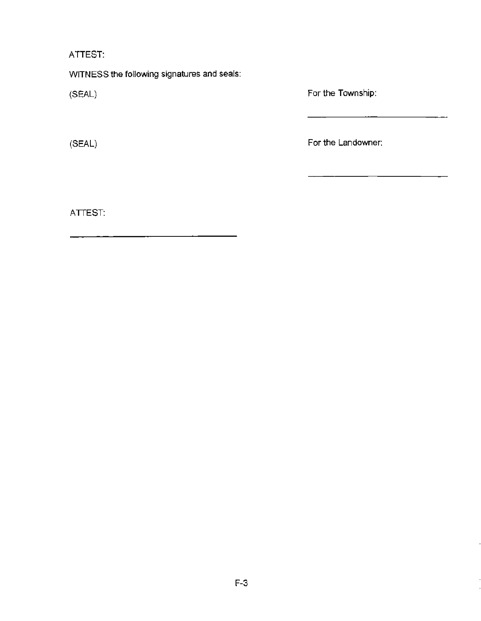ATTEST:

WITNESS the following signatures and seals:

(SEAL)

(SEAL)

For the Township:

For the Landowner:

ATTEST: